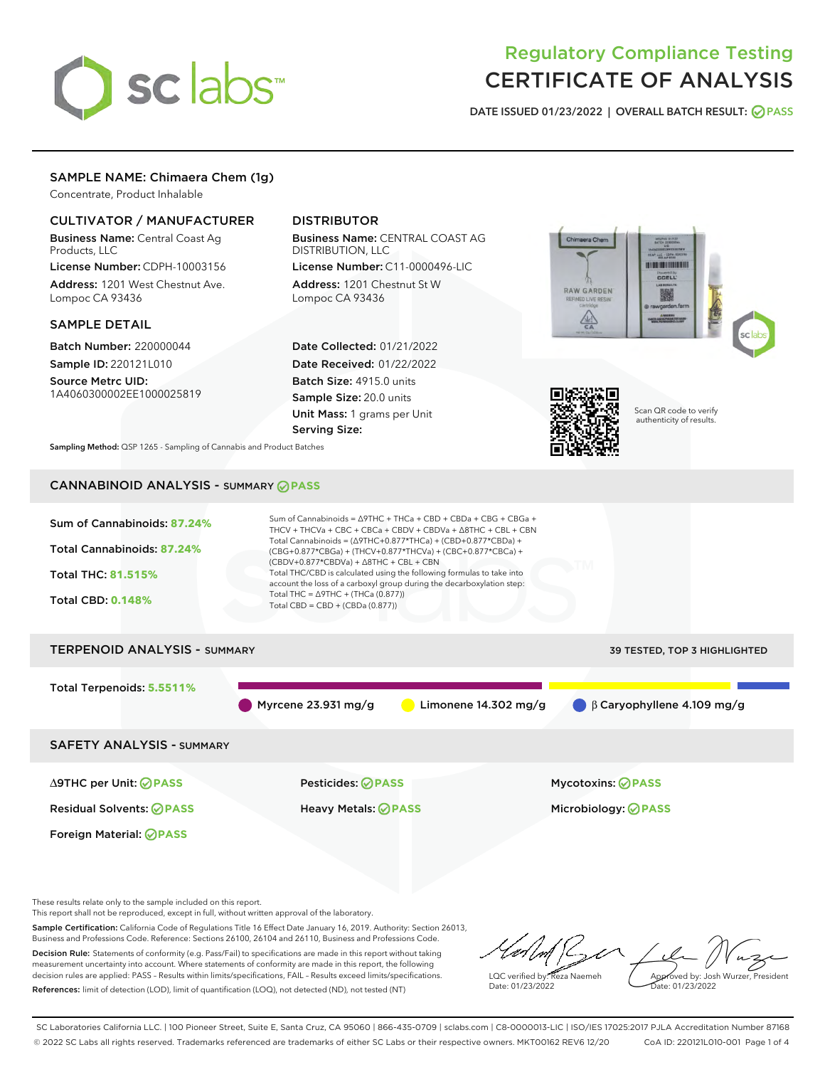

# Regulatory Compliance Testing CERTIFICATE OF ANALYSIS

DATE ISSUED 01/23/2022 | OVERALL BATCH RESULT: @ PASS

# SAMPLE NAME: Chimaera Chem (1g)

Concentrate, Product Inhalable

## CULTIVATOR / MANUFACTURER

Business Name: Central Coast Ag Products, LLC

License Number: CDPH-10003156 Address: 1201 West Chestnut Ave. Lompoc CA 93436

#### SAMPLE DETAIL

Batch Number: 220000044 Sample ID: 220121L010

Source Metrc UID: 1A4060300002EE1000025819

# DISTRIBUTOR

Business Name: CENTRAL COAST AG DISTRIBUTION, LLC

License Number: C11-0000496-LIC Address: 1201 Chestnut St W Lompoc CA 93436

Date Collected: 01/21/2022 Date Received: 01/22/2022 Batch Size: 4915.0 units Sample Size: 20.0 units Unit Mass: 1 grams per Unit Serving Size:





Scan QR code to verify authenticity of results.

Sampling Method: QSP 1265 - Sampling of Cannabis and Product Batches

# CANNABINOID ANALYSIS - SUMMARY **PASS**



These results relate only to the sample included on this report.

This report shall not be reproduced, except in full, without written approval of the laboratory.

Sample Certification: California Code of Regulations Title 16 Effect Date January 16, 2019. Authority: Section 26013, Business and Professions Code. Reference: Sections 26100, 26104 and 26110, Business and Professions Code. Decision Rule: Statements of conformity (e.g. Pass/Fail) to specifications are made in this report without taking measurement uncertainty into account. Where statements of conformity are made in this report, the following

References: limit of detection (LOD), limit of quantification (LOQ), not detected (ND), not tested (NT)

decision rules are applied: PASS – Results within limits/specifications, FAIL – Results exceed limits/specifications.

LQC verified by: Reza Naemeh Date: 01/23/2022 Approved by: Josh Wurzer, President Date: 01/23/2022

SC Laboratories California LLC. | 100 Pioneer Street, Suite E, Santa Cruz, CA 95060 | 866-435-0709 | sclabs.com | C8-0000013-LIC | ISO/IES 17025:2017 PJLA Accreditation Number 87168 © 2022 SC Labs all rights reserved. Trademarks referenced are trademarks of either SC Labs or their respective owners. MKT00162 REV6 12/20 CoA ID: 220121L010-001 Page 1 of 4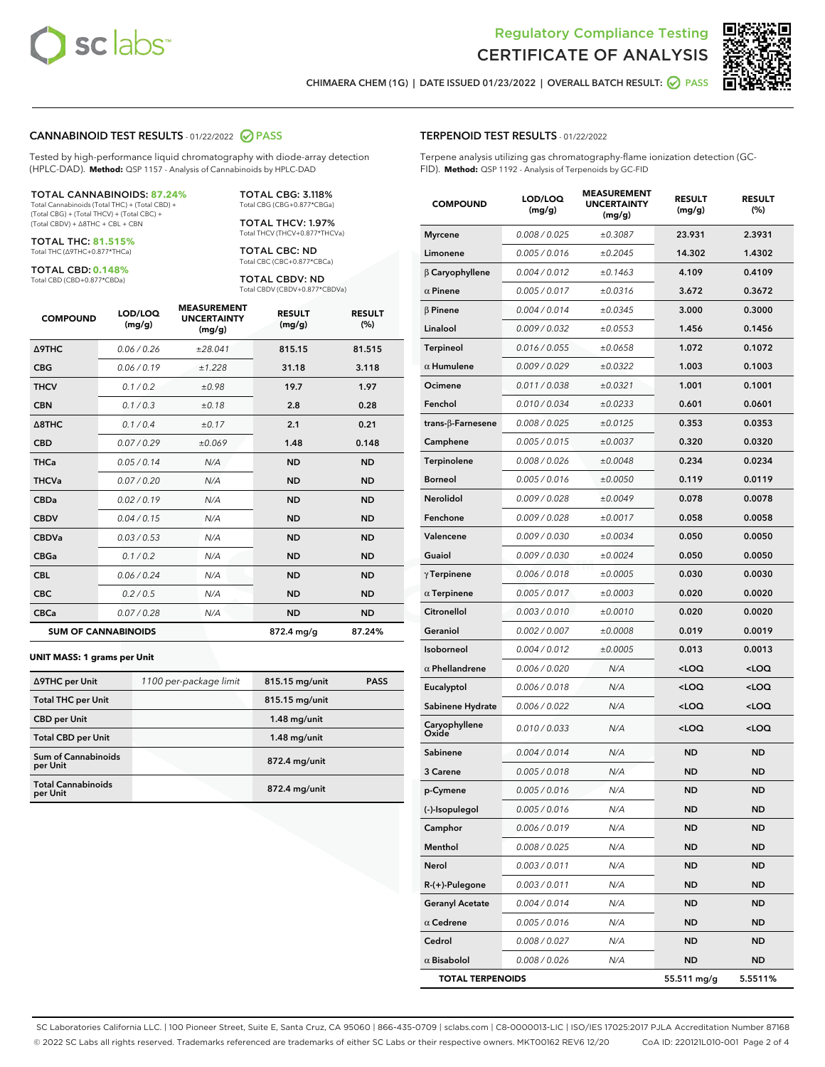



RESULT (%)

CHIMAERA CHEM (1G) | DATE ISSUED 01/23/2022 | OVERALL BATCH RESULT: 2 PASS

TERPENOID TEST RESULTS - 01/22/2022

#### CANNABINOID TEST RESULTS - 01/22/2022 2 PASS

Tested by high-performance liquid chromatography with diode-array detection (HPLC-DAD). **Method:** QSP 1157 - Analysis of Cannabinoids by HPLC-DAD

#### TOTAL CANNABINOIDS: **87.24%**

Total Cannabinoids (Total THC) + (Total CBD) + (Total CBG) + (Total THCV) + (Total CBC) + (Total CBDV) + ∆8THC + CBL + CBN

TOTAL THC: **81.515%** Total THC (∆9THC+0.877\*THCa)

TOTAL CBD: **0.148%**

Total CBD (CBD+0.877\*CBDa)

TOTAL CBG: 3.118% Total CBG (CBG+0.877\*CBGa)

TOTAL THCV: 1.97% Total THCV (THCV+0.877\*THCVa)

TOTAL CBC: ND Total CBC (CBC+0.877\*CBCa)

TOTAL CBDV: ND Total CBDV (CBDV+0.877\*CBDVa)

| <b>COMPOUND</b>  | LOD/LOQ<br>(mg/g)          | <b>MEASUREMENT</b><br><b>UNCERTAINTY</b><br>(mg/g) | <b>RESULT</b><br>(mg/g) | <b>RESULT</b><br>(%) |
|------------------|----------------------------|----------------------------------------------------|-------------------------|----------------------|
| <b>A9THC</b>     | 0.06 / 0.26                | ±28.041                                            | 815.15                  | 81.515               |
| <b>CBG</b>       | 0.06/0.19                  | ±1.228                                             | 31.18                   | 3.118                |
| <b>THCV</b>      | 0.1 / 0.2                  | ±0.98                                              | 19.7                    | 1.97                 |
| <b>CBN</b>       | 0.1 / 0.3                  | ±0.18                                              | 2.8                     | 0.28                 |
| $\triangle$ 8THC | 0.1 / 0.4                  | ±0.17                                              | 2.1                     | 0.21                 |
| <b>CBD</b>       | 0.07/0.29                  | ±0.069                                             | 1.48                    | 0.148                |
| <b>THCa</b>      | 0.05/0.14                  | N/A                                                | <b>ND</b>               | <b>ND</b>            |
| <b>THCVa</b>     | 0.07/0.20                  | N/A                                                | <b>ND</b>               | <b>ND</b>            |
| <b>CBDa</b>      | 0.02/0.19                  | N/A                                                | <b>ND</b>               | <b>ND</b>            |
| <b>CBDV</b>      | 0.04/0.15                  | N/A                                                | <b>ND</b>               | <b>ND</b>            |
| <b>CBDVa</b>     | 0.03/0.53                  | N/A                                                | <b>ND</b>               | <b>ND</b>            |
| <b>CBGa</b>      | 0.1/0.2                    | N/A                                                | <b>ND</b>               | <b>ND</b>            |
| <b>CBL</b>       | 0.06 / 0.24                | N/A                                                | <b>ND</b>               | <b>ND</b>            |
| <b>CBC</b>       | 0.2 / 0.5                  | N/A                                                | <b>ND</b>               | <b>ND</b>            |
| <b>CBCa</b>      | 0.07 / 0.28                | N/A                                                | <b>ND</b>               | <b>ND</b>            |
|                  | <b>SUM OF CANNABINOIDS</b> |                                                    | 872.4 mg/g              | 87.24%               |

#### **UNIT MASS: 1 grams per Unit**

| ∆9THC per Unit                        | 1100 per-package limit | 815.15 mg/unit  | <b>PASS</b> |
|---------------------------------------|------------------------|-----------------|-------------|
| <b>Total THC per Unit</b>             |                        | 815.15 mg/unit  |             |
| <b>CBD per Unit</b>                   |                        | $1.48$ mg/unit  |             |
| <b>Total CBD per Unit</b>             |                        | $1.48$ mg/unit  |             |
| Sum of Cannabinoids<br>per Unit       |                        | $872.4$ mg/unit |             |
| <b>Total Cannabinoids</b><br>per Unit |                        | 872.4 mg/unit   |             |

# Terpene analysis utilizing gas chromatography-flame ionization detection (GC-FID). **Method:** QSP 1192 - Analysis of Terpenoids by GC-FID COMPOUND LOD/LOQ (mg/g) MEASUREMENT UNCERTAINTY (mg/g) RESULT (mg/g) Myrcene 0.008 / 0.025  $\pm 0.3087$  23.931 2.3931 Limonene 0.005/0.016 ±0.2045 14.302 1.4302 β Caryophyllene 0.004 / 0.012 ± 0.1463 4.109 0.4109  $\alpha$  Pinene  $0.005 / 0.017$   $\pm 0.0316$  3.672 0.3672

| $\beta$ Pinene          | 0.004 / 0.014 | ±0.0345 | 3.000                                           | 0.3000              |
|-------------------------|---------------|---------|-------------------------------------------------|---------------------|
| Linalool                | 0.009 / 0.032 | ±0.0553 | 1.456                                           | 0.1456              |
| <b>Terpineol</b>        | 0.016 / 0.055 | ±0.0658 | 1.072                                           | 0.1072              |
| $\alpha$ Humulene       | 0.009 / 0.029 | ±0.0322 | 1.003                                           | 0.1003              |
| Ocimene                 | 0.011 / 0.038 | ±0.0321 | 1.001                                           | 0.1001              |
| Fenchol                 | 0.010 / 0.034 | ±0.0233 | 0.601                                           | 0.0601              |
| trans-ß-Farnesene       | 0.008 / 0.025 | ±0.0125 | 0.353                                           | 0.0353              |
| Camphene                | 0.005 / 0.015 | ±0.0037 | 0.320                                           | 0.0320              |
| Terpinolene             | 0.008 / 0.026 | ±0.0048 | 0.234                                           | 0.0234              |
| <b>Borneol</b>          | 0.005 / 0.016 | ±0.0050 | 0.119                                           | 0.0119              |
| Nerolidol               | 0.009 / 0.028 | ±0.0049 | 0.078                                           | 0.0078              |
| Fenchone                | 0.009 / 0.028 | ±0.0017 | 0.058                                           | 0.0058              |
| Valencene               | 0.009 / 0.030 | ±0.0034 | 0.050                                           | 0.0050              |
| Guaiol                  | 0.009 / 0.030 | ±0.0024 | 0.050                                           | 0.0050              |
| $\gamma$ Terpinene      | 0.006 / 0.018 | ±0.0005 | 0.030                                           | 0.0030              |
| $\alpha$ Terpinene      | 0.005 / 0.017 | ±0.0003 | 0.020                                           | 0.0020              |
| Citronellol             | 0.003 / 0.010 | ±0.0010 | 0.020                                           | 0.0020              |
| Geraniol                | 0.002 / 0.007 | ±0.0008 | 0.019                                           | 0.0019              |
| Isoborneol              | 0.004 / 0.012 | ±0.0005 | 0.013                                           | 0.0013              |
| $\alpha$ Phellandrene   | 0.006 / 0.020 | N/A     | <loq< th=""><th><loq< th=""></loq<></th></loq<> | <loq< th=""></loq<> |
| Eucalyptol              | 0.006 / 0.018 | N/A     | $<$ LOQ                                         | <loq< th=""></loq<> |
| Sabinene Hydrate        | 0.006 / 0.022 | N/A     | $<$ LOQ                                         | <loq< th=""></loq<> |
| Caryophyllene<br>Oxide  | 0.010 / 0.033 | N/A     | $<$ LOQ                                         | $<$ LOQ             |
| Sabinene                | 0.004 / 0.014 | N/A     | <b>ND</b>                                       | ND                  |
| 3 Carene                | 0.005 / 0.018 | N/A     | <b>ND</b>                                       | <b>ND</b>           |
| p-Cymene                | 0.005 / 0.016 | N/A     | <b>ND</b>                                       | <b>ND</b>           |
| (-)-Isopulegol          | 0.005 / 0.016 | N/A     | <b>ND</b>                                       | <b>ND</b>           |
| Camphor                 | 0.006 / 0.019 | N/A     | <b>ND</b>                                       | <b>ND</b>           |
| Menthol                 | 0.008 / 0.025 | N/A     | <b>ND</b>                                       | ND                  |
| Nerol                   | 0.003 / 0.011 | N/A     | <b>ND</b>                                       | <b>ND</b>           |
| R-(+)-Pulegone          | 0.003 / 0.011 | N/A     | <b>ND</b>                                       | ND                  |
| <b>Geranyl Acetate</b>  | 0.004 / 0.014 | N/A     | <b>ND</b>                                       | <b>ND</b>           |
| $\alpha$ Cedrene        | 0.005 / 0.016 | N/A     | <b>ND</b>                                       | ND                  |
| Cedrol                  | 0.008 / 0.027 | N/A     | <b>ND</b>                                       | ND                  |
| $\alpha$ Bisabolol      | 0.008 / 0.026 | N/A     | <b>ND</b>                                       | <b>ND</b>           |
| <b>TOTAL TERPENOIDS</b> |               |         | 55.511 mg/g                                     | 5.5511%             |

SC Laboratories California LLC. | 100 Pioneer Street, Suite E, Santa Cruz, CA 95060 | 866-435-0709 | sclabs.com | C8-0000013-LIC | ISO/IES 17025:2017 PJLA Accreditation Number 87168 © 2022 SC Labs all rights reserved. Trademarks referenced are trademarks of either SC Labs or their respective owners. MKT00162 REV6 12/20 CoA ID: 220121L010-001 Page 2 of 4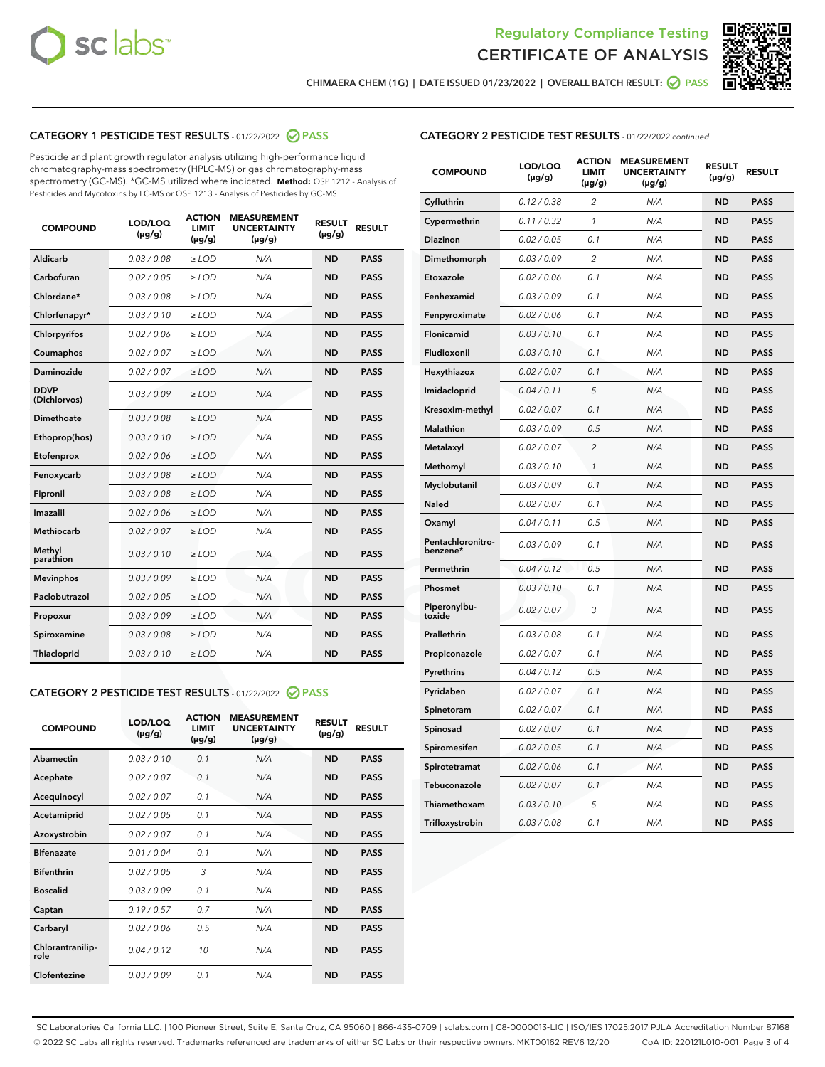



CHIMAERA CHEM (1G) | DATE ISSUED 01/23/2022 | OVERALL BATCH RESULT: ○ PASS

# CATEGORY 1 PESTICIDE TEST RESULTS - 01/22/2022 2 PASS

Pesticide and plant growth regulator analysis utilizing high-performance liquid chromatography-mass spectrometry (HPLC-MS) or gas chromatography-mass spectrometry (GC-MS). \*GC-MS utilized where indicated. **Method:** QSP 1212 - Analysis of Pesticides and Mycotoxins by LC-MS or QSP 1213 - Analysis of Pesticides by GC-MS

| <b>Aldicarb</b><br>0.03 / 0.08<br><b>ND</b><br>$\ge$ LOD<br>N/A<br><b>PASS</b><br>Carbofuran<br>0.02/0.05<br>$\ge$ LOD<br>N/A<br><b>ND</b><br><b>PASS</b><br>Chlordane*<br>0.03 / 0.08<br><b>ND</b><br>$>$ LOD<br>N/A<br><b>PASS</b><br>0.03/0.10<br><b>ND</b><br><b>PASS</b><br>Chlorfenapyr*<br>$\ge$ LOD<br>N/A<br>0.02 / 0.06<br>N/A<br><b>ND</b><br><b>PASS</b><br>Chlorpyrifos<br>$\ge$ LOD<br>0.02 / 0.07<br>N/A<br><b>ND</b><br><b>PASS</b><br>Coumaphos<br>$>$ LOD<br>Daminozide<br>0.02 / 0.07<br>$\ge$ LOD<br>N/A<br><b>ND</b><br><b>PASS</b><br><b>DDVP</b><br>0.03/0.09<br>$\ge$ LOD<br>N/A<br><b>ND</b><br><b>PASS</b><br>(Dichlorvos)<br>Dimethoate<br><b>ND</b><br><b>PASS</b><br>0.03 / 0.08<br>$>$ LOD<br>N/A<br>Ethoprop(hos)<br>0.03/0.10<br>$\ge$ LOD<br>N/A<br><b>ND</b><br><b>PASS</b><br>0.02/0.06<br>$\ge$ LOD<br>N/A<br><b>ND</b><br><b>PASS</b><br>Etofenprox<br>Fenoxycarb<br>0.03 / 0.08<br>$>$ LOD<br>N/A<br><b>ND</b><br><b>PASS</b><br>0.03 / 0.08<br><b>ND</b><br><b>PASS</b><br>Fipronil<br>$\ge$ LOD<br>N/A<br>Imazalil<br>0.02 / 0.06<br>$>$ LOD<br>N/A<br><b>ND</b><br><b>PASS</b><br>0.02 / 0.07<br>Methiocarb<br>N/A<br><b>ND</b><br>$>$ LOD<br><b>PASS</b><br>Methyl<br>0.03/0.10<br>$\ge$ LOD<br>N/A<br><b>ND</b><br><b>PASS</b><br>parathion<br>0.03/0.09<br>$\ge$ LOD<br>N/A<br><b>ND</b><br><b>PASS</b><br><b>Mevinphos</b><br>Paclobutrazol<br>0.02 / 0.05<br>$\ge$ LOD<br>N/A<br><b>ND</b><br><b>PASS</b><br>0.03/0.09<br>N/A<br>$\ge$ LOD<br><b>ND</b><br><b>PASS</b><br>Propoxur<br>0.03 / 0.08<br><b>ND</b><br><b>PASS</b><br>Spiroxamine<br>$\ge$ LOD<br>N/A<br><b>PASS</b><br>Thiacloprid<br>0.03/0.10<br>$\ge$ LOD<br>N/A<br><b>ND</b> | <b>COMPOUND</b> | LOD/LOQ<br>$(\mu g/g)$ | <b>ACTION</b><br>LIMIT<br>$(\mu g/g)$ | <b>MEASUREMENT</b><br><b>UNCERTAINTY</b><br>$(\mu g/g)$ | <b>RESULT</b><br>$(\mu g/g)$ | <b>RESULT</b> |
|--------------------------------------------------------------------------------------------------------------------------------------------------------------------------------------------------------------------------------------------------------------------------------------------------------------------------------------------------------------------------------------------------------------------------------------------------------------------------------------------------------------------------------------------------------------------------------------------------------------------------------------------------------------------------------------------------------------------------------------------------------------------------------------------------------------------------------------------------------------------------------------------------------------------------------------------------------------------------------------------------------------------------------------------------------------------------------------------------------------------------------------------------------------------------------------------------------------------------------------------------------------------------------------------------------------------------------------------------------------------------------------------------------------------------------------------------------------------------------------------------------------------------------------------------------------------------------------------------------------------------------------------------------------------------------------------|-----------------|------------------------|---------------------------------------|---------------------------------------------------------|------------------------------|---------------|
|                                                                                                                                                                                                                                                                                                                                                                                                                                                                                                                                                                                                                                                                                                                                                                                                                                                                                                                                                                                                                                                                                                                                                                                                                                                                                                                                                                                                                                                                                                                                                                                                                                                                                            |                 |                        |                                       |                                                         |                              |               |
|                                                                                                                                                                                                                                                                                                                                                                                                                                                                                                                                                                                                                                                                                                                                                                                                                                                                                                                                                                                                                                                                                                                                                                                                                                                                                                                                                                                                                                                                                                                                                                                                                                                                                            |                 |                        |                                       |                                                         |                              |               |
|                                                                                                                                                                                                                                                                                                                                                                                                                                                                                                                                                                                                                                                                                                                                                                                                                                                                                                                                                                                                                                                                                                                                                                                                                                                                                                                                                                                                                                                                                                                                                                                                                                                                                            |                 |                        |                                       |                                                         |                              |               |
|                                                                                                                                                                                                                                                                                                                                                                                                                                                                                                                                                                                                                                                                                                                                                                                                                                                                                                                                                                                                                                                                                                                                                                                                                                                                                                                                                                                                                                                                                                                                                                                                                                                                                            |                 |                        |                                       |                                                         |                              |               |
|                                                                                                                                                                                                                                                                                                                                                                                                                                                                                                                                                                                                                                                                                                                                                                                                                                                                                                                                                                                                                                                                                                                                                                                                                                                                                                                                                                                                                                                                                                                                                                                                                                                                                            |                 |                        |                                       |                                                         |                              |               |
|                                                                                                                                                                                                                                                                                                                                                                                                                                                                                                                                                                                                                                                                                                                                                                                                                                                                                                                                                                                                                                                                                                                                                                                                                                                                                                                                                                                                                                                                                                                                                                                                                                                                                            |                 |                        |                                       |                                                         |                              |               |
|                                                                                                                                                                                                                                                                                                                                                                                                                                                                                                                                                                                                                                                                                                                                                                                                                                                                                                                                                                                                                                                                                                                                                                                                                                                                                                                                                                                                                                                                                                                                                                                                                                                                                            |                 |                        |                                       |                                                         |                              |               |
|                                                                                                                                                                                                                                                                                                                                                                                                                                                                                                                                                                                                                                                                                                                                                                                                                                                                                                                                                                                                                                                                                                                                                                                                                                                                                                                                                                                                                                                                                                                                                                                                                                                                                            |                 |                        |                                       |                                                         |                              |               |
|                                                                                                                                                                                                                                                                                                                                                                                                                                                                                                                                                                                                                                                                                                                                                                                                                                                                                                                                                                                                                                                                                                                                                                                                                                                                                                                                                                                                                                                                                                                                                                                                                                                                                            |                 |                        |                                       |                                                         |                              |               |
|                                                                                                                                                                                                                                                                                                                                                                                                                                                                                                                                                                                                                                                                                                                                                                                                                                                                                                                                                                                                                                                                                                                                                                                                                                                                                                                                                                                                                                                                                                                                                                                                                                                                                            |                 |                        |                                       |                                                         |                              |               |
|                                                                                                                                                                                                                                                                                                                                                                                                                                                                                                                                                                                                                                                                                                                                                                                                                                                                                                                                                                                                                                                                                                                                                                                                                                                                                                                                                                                                                                                                                                                                                                                                                                                                                            |                 |                        |                                       |                                                         |                              |               |
|                                                                                                                                                                                                                                                                                                                                                                                                                                                                                                                                                                                                                                                                                                                                                                                                                                                                                                                                                                                                                                                                                                                                                                                                                                                                                                                                                                                                                                                                                                                                                                                                                                                                                            |                 |                        |                                       |                                                         |                              |               |
|                                                                                                                                                                                                                                                                                                                                                                                                                                                                                                                                                                                                                                                                                                                                                                                                                                                                                                                                                                                                                                                                                                                                                                                                                                                                                                                                                                                                                                                                                                                                                                                                                                                                                            |                 |                        |                                       |                                                         |                              |               |
|                                                                                                                                                                                                                                                                                                                                                                                                                                                                                                                                                                                                                                                                                                                                                                                                                                                                                                                                                                                                                                                                                                                                                                                                                                                                                                                                                                                                                                                                                                                                                                                                                                                                                            |                 |                        |                                       |                                                         |                              |               |
|                                                                                                                                                                                                                                                                                                                                                                                                                                                                                                                                                                                                                                                                                                                                                                                                                                                                                                                                                                                                                                                                                                                                                                                                                                                                                                                                                                                                                                                                                                                                                                                                                                                                                            |                 |                        |                                       |                                                         |                              |               |
|                                                                                                                                                                                                                                                                                                                                                                                                                                                                                                                                                                                                                                                                                                                                                                                                                                                                                                                                                                                                                                                                                                                                                                                                                                                                                                                                                                                                                                                                                                                                                                                                                                                                                            |                 |                        |                                       |                                                         |                              |               |
|                                                                                                                                                                                                                                                                                                                                                                                                                                                                                                                                                                                                                                                                                                                                                                                                                                                                                                                                                                                                                                                                                                                                                                                                                                                                                                                                                                                                                                                                                                                                                                                                                                                                                            |                 |                        |                                       |                                                         |                              |               |
|                                                                                                                                                                                                                                                                                                                                                                                                                                                                                                                                                                                                                                                                                                                                                                                                                                                                                                                                                                                                                                                                                                                                                                                                                                                                                                                                                                                                                                                                                                                                                                                                                                                                                            |                 |                        |                                       |                                                         |                              |               |
|                                                                                                                                                                                                                                                                                                                                                                                                                                                                                                                                                                                                                                                                                                                                                                                                                                                                                                                                                                                                                                                                                                                                                                                                                                                                                                                                                                                                                                                                                                                                                                                                                                                                                            |                 |                        |                                       |                                                         |                              |               |
|                                                                                                                                                                                                                                                                                                                                                                                                                                                                                                                                                                                                                                                                                                                                                                                                                                                                                                                                                                                                                                                                                                                                                                                                                                                                                                                                                                                                                                                                                                                                                                                                                                                                                            |                 |                        |                                       |                                                         |                              |               |
|                                                                                                                                                                                                                                                                                                                                                                                                                                                                                                                                                                                                                                                                                                                                                                                                                                                                                                                                                                                                                                                                                                                                                                                                                                                                                                                                                                                                                                                                                                                                                                                                                                                                                            |                 |                        |                                       |                                                         |                              |               |

#### CATEGORY 2 PESTICIDE TEST RESULTS - 01/22/2022 2 PASS

| <b>COMPOUND</b>          | LOD/LOO<br>$(\mu g/g)$ | <b>ACTION</b><br>LIMIT<br>$(\mu g/g)$ | <b>MEASUREMENT</b><br><b>UNCERTAINTY</b><br>$(\mu g/g)$ | <b>RESULT</b><br>$(\mu g/g)$ | <b>RESULT</b> |  |
|--------------------------|------------------------|---------------------------------------|---------------------------------------------------------|------------------------------|---------------|--|
| Abamectin                | 0.03/0.10              | 0.1                                   | N/A                                                     | <b>ND</b>                    | <b>PASS</b>   |  |
| Acephate                 | 0.02/0.07              | 0.1                                   | N/A                                                     | <b>ND</b>                    | <b>PASS</b>   |  |
| Acequinocyl              | 0.02/0.07              | 0.1                                   | N/A                                                     | <b>ND</b>                    | <b>PASS</b>   |  |
| Acetamiprid              | 0.02/0.05              | 0.1                                   | N/A                                                     | <b>ND</b>                    | <b>PASS</b>   |  |
| Azoxystrobin             | 0.02/0.07              | 0.1                                   | N/A                                                     | <b>ND</b>                    | <b>PASS</b>   |  |
| <b>Bifenazate</b>        | 0.01 / 0.04            | 0.1                                   | N/A                                                     | <b>ND</b>                    | <b>PASS</b>   |  |
| <b>Bifenthrin</b>        | 0.02/0.05              | 3                                     | N/A                                                     | <b>ND</b>                    | <b>PASS</b>   |  |
| <b>Boscalid</b>          | 0.03/0.09              | 0.1                                   | N/A                                                     | <b>ND</b>                    | <b>PASS</b>   |  |
| Captan                   | 0.19/0.57              | 0.7                                   | N/A                                                     | <b>ND</b>                    | <b>PASS</b>   |  |
| Carbaryl                 | 0.02/0.06              | 0.5                                   | N/A                                                     | <b>ND</b>                    | <b>PASS</b>   |  |
| Chlorantranilip-<br>role | 0.04/0.12              | 10                                    | N/A                                                     | <b>ND</b>                    | <b>PASS</b>   |  |
| Clofentezine             | 0.03/0.09              | 0.1                                   | N/A                                                     | <b>ND</b>                    | <b>PASS</b>   |  |

| <b>COMPOUND</b>               | LOD/LOQ<br>(µg/g) | <b>ACTION</b><br>LIMIT<br>$(\mu g/g)$ | <b>MEASUREMENT</b><br><b>UNCERTAINTY</b><br>(µg/g) | <b>RESULT</b><br>(µg/g) | <b>RESULT</b> |
|-------------------------------|-------------------|---------------------------------------|----------------------------------------------------|-------------------------|---------------|
| Cyfluthrin                    | 0.12 / 0.38       | 2                                     | N/A                                                | ND                      | <b>PASS</b>   |
| Cypermethrin                  | 0.11 / 0.32       | 1                                     | N/A                                                | ND                      | <b>PASS</b>   |
| Diazinon                      | 0.02 / 0.05       | 0.1                                   | N/A                                                | ND                      | <b>PASS</b>   |
| Dimethomorph                  | 0.03 / 0.09       | 2                                     | N/A                                                | <b>ND</b>               | <b>PASS</b>   |
| Etoxazole                     | 0.02 / 0.06       | 0.1                                   | N/A                                                | ND                      | <b>PASS</b>   |
| Fenhexamid                    | 0.03 / 0.09       | 0.1                                   | N/A                                                | ND                      | <b>PASS</b>   |
| Fenpyroximate                 | 0.02 / 0.06       | 0.1                                   | N/A                                                | <b>ND</b>               | <b>PASS</b>   |
| Flonicamid                    | 0.03 / 0.10       | 0.1                                   | N/A                                                | <b>ND</b>               | <b>PASS</b>   |
| Fludioxonil                   | 0.03 / 0.10       | 0.1                                   | N/A                                                | <b>ND</b>               | <b>PASS</b>   |
| Hexythiazox                   | 0.02 / 0.07       | 0.1                                   | N/A                                                | <b>ND</b>               | <b>PASS</b>   |
| Imidacloprid                  | 0.04 / 0.11       | 5                                     | N/A                                                | <b>ND</b>               | <b>PASS</b>   |
| Kresoxim-methyl               | 0.02 / 0.07       | 0.1                                   | N/A                                                | ND                      | <b>PASS</b>   |
| Malathion                     | 0.03 / 0.09       | 0.5                                   | N/A                                                | <b>ND</b>               | <b>PASS</b>   |
| Metalaxyl                     | 0.02 / 0.07       | $\overline{c}$                        | N/A                                                | <b>ND</b>               | <b>PASS</b>   |
| Methomyl                      | 0.03 / 0.10       | 1                                     | N/A                                                | ND                      | <b>PASS</b>   |
| Myclobutanil                  | 0.03/0.09         | 0.1                                   | N/A                                                | <b>ND</b>               | <b>PASS</b>   |
| Naled                         | 0.02 / 0.07       | 0.1                                   | N/A                                                | ND                      | <b>PASS</b>   |
| Oxamyl                        | 0.04 / 0.11       | 0.5                                   | N/A                                                | ND                      | <b>PASS</b>   |
| Pentachloronitro-<br>benzene* | 0.03 / 0.09       | 0.1                                   | N/A                                                | ND                      | <b>PASS</b>   |
| Permethrin                    | 0.04/0.12         | 0.5                                   | N/A                                                | <b>ND</b>               | <b>PASS</b>   |
| Phosmet                       | 0.03 / 0.10       | 0.1                                   | N/A                                                | ND                      | <b>PASS</b>   |
| Piperonylbu-<br>toxide        | 0.02 / 0.07       | 3                                     | N/A                                                | <b>ND</b>               | <b>PASS</b>   |
| Prallethrin                   | 0.03 / 0.08       | 0.1                                   | N/A                                                | <b>ND</b>               | <b>PASS</b>   |
| Propiconazole                 | 0.02 / 0.07       | 0.1                                   | N/A                                                | ND                      | <b>PASS</b>   |
| Pyrethrins                    | 0.04 / 0.12       | 0.5                                   | N/A                                                | ND                      | <b>PASS</b>   |
| Pyridaben                     | 0.02 / 0.07       | 0.1                                   | N/A                                                | <b>ND</b>               | <b>PASS</b>   |
| Spinetoram                    | 0.02 / 0.07       | 0.1                                   | N/A                                                | ND                      | <b>PASS</b>   |
| Spinosad                      | 0.02 / 0.07       | 0.1                                   | N/A                                                | ND                      | <b>PASS</b>   |
| Spiromesifen                  | 0.02 / 0.05       | 0.1                                   | N/A                                                | <b>ND</b>               | <b>PASS</b>   |
| Spirotetramat                 | 0.02 / 0.06       | 0.1                                   | N/A                                                | ND                      | <b>PASS</b>   |
| Tebuconazole                  | 0.02 / 0.07       | 0.1                                   | N/A                                                | ND                      | <b>PASS</b>   |
| Thiamethoxam                  | 0.03 / 0.10       | 5                                     | N/A                                                | <b>ND</b>               | <b>PASS</b>   |
| Trifloxystrobin               | 0.03 / 0.08       | 0.1                                   | N/A                                                | <b>ND</b>               | <b>PASS</b>   |

SC Laboratories California LLC. | 100 Pioneer Street, Suite E, Santa Cruz, CA 95060 | 866-435-0709 | sclabs.com | C8-0000013-LIC | ISO/IES 17025:2017 PJLA Accreditation Number 87168 © 2022 SC Labs all rights reserved. Trademarks referenced are trademarks of either SC Labs or their respective owners. MKT00162 REV6 12/20 CoA ID: 220121L010-001 Page 3 of 4